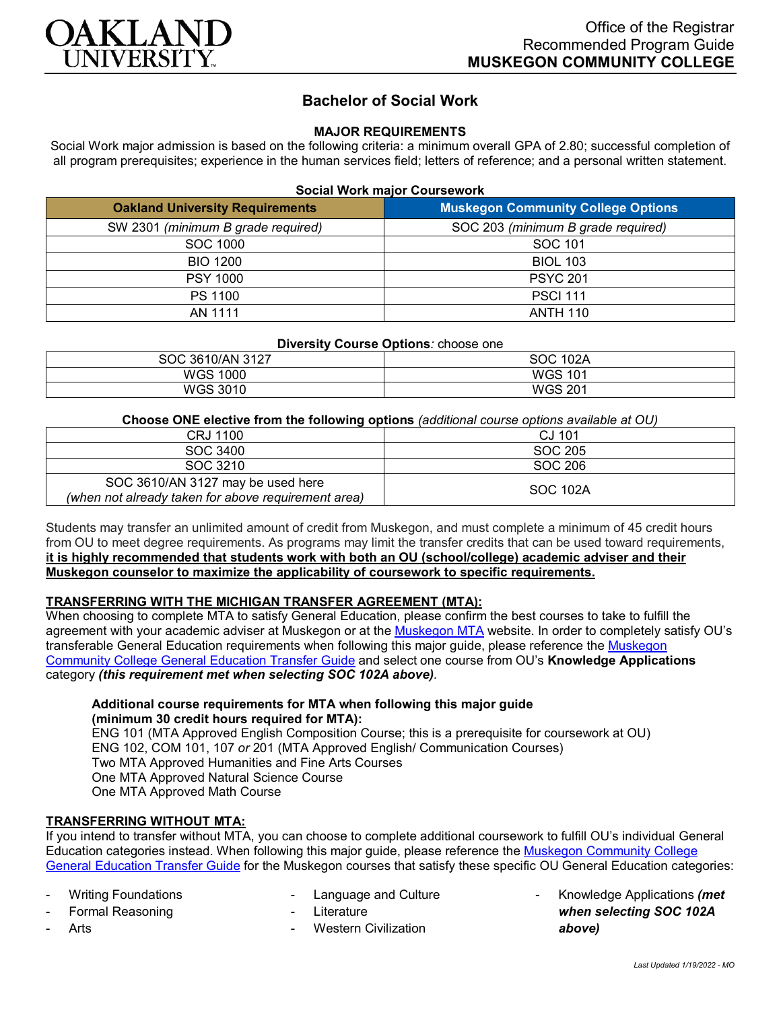

# **Bachelor of Social Work**

## **MAJOR REQUIREMENTS**

Social Work major admission is based on the following criteria: a minimum overall GPA of 2.80; successful completion of all program prerequisites; experience in the human services field; letters of reference; and a personal written statement.

| <b>Social Work major Coursework</b> |  |
|-------------------------------------|--|
|-------------------------------------|--|

| <b>Oakland University Requirements</b> | <b>Muskegon Community College Options</b> |
|----------------------------------------|-------------------------------------------|
| SW 2301 (minimum B grade required)     | SOC 203 (minimum B grade required)        |
| SOC 1000                               | SOC 101                                   |
| <b>BIO 1200</b>                        | <b>BIOL 103</b>                           |
| <b>PSY 1000</b>                        | <b>PSYC 201</b>                           |
| PS 1100                                | <b>PSCI 111</b>                           |
| AN 1111                                | <b>ANTH 110</b>                           |

| Diversity Course Options: choose one |                 |  |
|--------------------------------------|-----------------|--|
| SOC 3610/AN 3127                     | <b>SOC 102A</b> |  |
| <b>WGS 1000</b>                      | <b>WGS 101</b>  |  |
| WGS 3010                             | <b>WGS 201</b>  |  |

**Choose ONE elective from the following options** *(additional course options available at OU)*

| CRJ 1100                                                                                 | CJ 101   |
|------------------------------------------------------------------------------------------|----------|
| SOC 3400                                                                                 | SOC 205  |
| SOC 3210                                                                                 | SOC 206  |
| SOC 3610/AN 3127 may be used here<br>(when not already taken for above requirement area) | SOC 102A |

Students may transfer an unlimited amount of credit from Muskegon, and must complete a minimum of 45 credit hours from OU to meet degree requirements. As programs may limit the transfer credits that can be used toward requirements, **it is highly recommended that students work with both an OU (school/college) academic adviser and their Muskegon counselor to maximize the applicability of coursework to specific requirements.**

## **TRANSFERRING WITH THE MICHIGAN TRANSFER AGREEMENT (MTA):**

When choosing to complete MTA to satisfy General Education, please confirm the best courses to take to fulfill the agreement with your academic adviser at Muskegon or at the [Muskegon MTA](http://www.muskegoncc.edu/transferservices/wp-content/uploads/sites/147/2019/10/MTA-guide-2019-20-Revised-July-23-2019.pdf) website. In order to completely satisfy OU's transferable General Education requirements when following this major guide, please reference the Muskegon [Community College General Education Transfer Guide](https://www.oakland.edu/Assets/Oakland/program-guides/muskegon-community-college/university-general-education-requirements/Muskegon%20Gen%20Ed.pdf) and select one course from OU's **Knowledge Applications** category *(this requirement met when selecting SOC 102A above).*

**Additional course requirements for MTA when following this major guide (minimum 30 credit hours required for MTA):**

ENG 101 (MTA Approved English Composition Course; this is a prerequisite for coursework at OU) ENG 102, COM 101, 107 *or* 201 (MTA Approved English/ Communication Courses) Two MTA Approved Humanities and Fine Arts Courses One MTA Approved Natural Science Course One MTA Approved Math Course

## **TRANSFERRING WITHOUT MTA:**

If you intend to transfer without MTA, you can choose to complete additional coursework to fulfill OU's individual General Education categories instead. When following this major guide, please reference the [Muskegon Community College](https://www.oakland.edu/Assets/Oakland/program-guides/muskegon-community-college/university-general-education-requirements/Muskegon%20Gen%20Ed.pdf)  [General Education Transfer Guide](https://www.oakland.edu/Assets/Oakland/program-guides/muskegon-community-college/university-general-education-requirements/Muskegon%20Gen%20Ed.pdf) for the Muskegon courses that satisfy these specific OU General Education categories:

- Writing Foundations
- Formal Reasoning

**Arts** 

- Language and Culture
- **Literature** 
	- Western Civilization

- Knowledge Applications *(met when selecting SOC 102A above)*